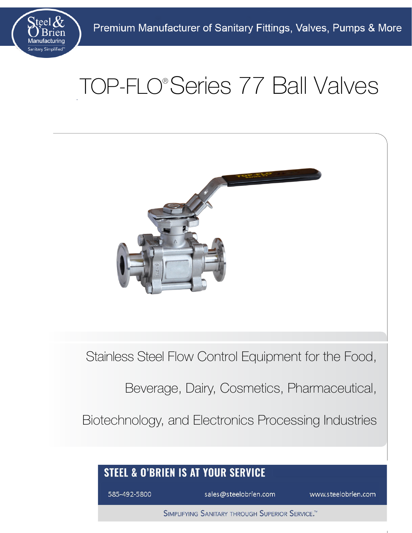

# TOP-FLO® Series 77 Ball Valves



Stainless Steel Flow Control Equipment for the Food,

Beverage, Dairy, Cosmetics, Pharmaceutical,

Biotechnology, and Electronics Processing Industries

### **STEEL & O'BRIEN IS AT YOUR SERVICE**

585-492-5800

sales@steelobrien.com

www.steelobrien.com

[585-492-5800 sales@steelobrien.com](https://www.steelobrien.com/contact-us/)

SIMPLIFYING SANITARY THROUGH SUPERIOR SERVICE.<sup>TM</sup>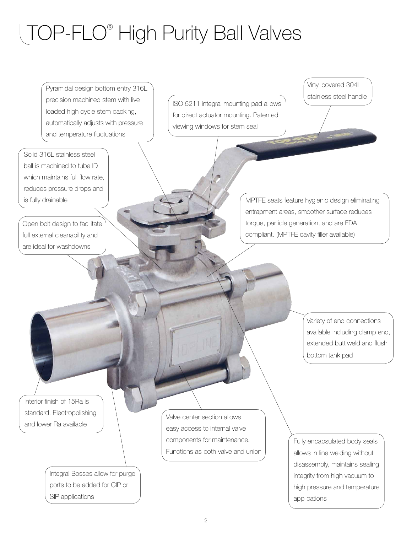# TOP-FLO® High Purity Ball Valves

Open bolt design to facilitate full external cleanability and are ideal for washdowns Pyramidal design bottom entry 316L precision machined stem with live loaded high cycle stem packing, automatically adjusts with pressure and temperature fluctuations Solid 316L stainless steel ball is machined to tube ID which maintains full flow rate, reduces pressure drops and is fully drainable ISO 5211 integral mounting pad allows for direct actuator mounting. Patented viewing windows for stem seal Vinyl covered 304L stainless steel handle MPTFE seats feature hygienic design eliminating entrapment areas, smoother surface reduces torque, particle generation, and are FDA compliant. (MPTFE cavity filler available) Variety of end connections available including clamp end, extended butt weld and flush bottom tank pad Fully encapsulated body seals allows in line welding without disassembly, maintains sealing integrity from high vacuum to high pressure and temperature applications Valve center section allows easy access to internal valve components for maintenance. Functions as both valve and union Integral Bosses allow for purge ports to be added for CIP or SIP applications Interior finish of 15Ra is standard. Electropolishing and lower Ra available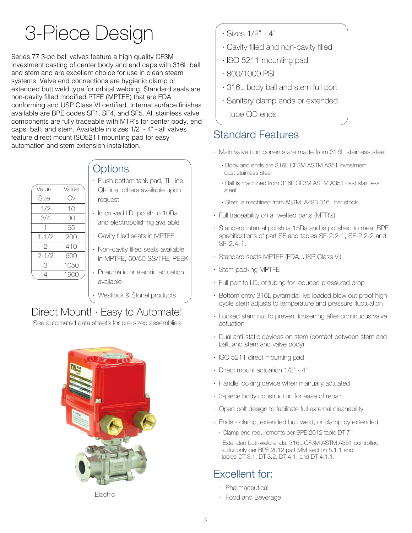# 3-Piece Design

Series 77 3-pc ball valves feature a high quality CF3M investment casting of center body and end caps with 316L ball and stem and are excellent choice for use in clean steam systems. Valve end connections are hygienic clamp or extended butt weld type for orbital welding. Standard seals are non-cavity filled modified PTFE (MPTFE) that are FDA conforming and USP Class VI certified. Internal surface finishes available are BPE codes SF1, SF4, and SF5. All stainless valve components are fully traceable with MTR's for center body, end caps, ball, and stem. Available in sizes 1/2" - 4" - all valves feature direct mount ISO5211 mounting pad for easy automation and stem extension installation.

| Value         | Value |  |  |  |
|---------------|-------|--|--|--|
| Size          | Cν    |  |  |  |
| 1/2           | 10    |  |  |  |
| 3/4           | 30    |  |  |  |
|               | 65    |  |  |  |
| $1 - 1/2$     | 200   |  |  |  |
| $\mathcal{P}$ | 410   |  |  |  |
| $2 - 1/2$     | 600   |  |  |  |
| 3             | 1050  |  |  |  |
|               | 1900  |  |  |  |

#### **Options**

- request. QI-Line, others available upon Flush bottom tank pad, TI-Line,
- and electropolishing available · Improved I.D. polish to 10Ra
- · Cavity filled seats in MPTFE
- in MPTFE, 50/50 SS/TFE, PEEK · Non-cavity filled seats available
- available · Pneumatic or electric actuation

Westlock & Stonel products

## Direct Mount! · Easy to Automate!

See automated data sheets for pre-sized assemblies



Electric

- · Sizes 1/2" 4"
- · Cavity filled and non-cavity filled
- · ISO 5211 mounting pad
- · 800/1000 PSI
- · 316L body ball and stem full port
- · Sanitary clamp ends or extended
	- tube OD ends

#### Standard Features

- · Main valve components are made from 316L stainless steel
	- cast stainless steel · Body and ends are 316L CF3M ASTM A351 investment
	- steel · Ball is machined from 316L CF3M ASTM A351 cast stainless
	- · Stem is machined from ASTM A493 316L bar stock
- · Full traceability on all wetted parts (MTR's)
- SF-2.4-1. specifications of part SF and tables SF-2.2-1, SF-2.2-2 and · Standard internal polish is 15Ra and is polished to meet BPE
- · Standard seats MPTFE (FDA, USP Class VI)
- · Stem packing MPTFE
- · Full port to I.D. of tubing for reduced pressured drop
- cycle stem adjusts to temperature and pressure fluctuation · Bottom entry 316L pyramidal live loaded blow out proof high
- actuation · Locked stem nut to prevent loosening after continuous valve
- ball, and stem and valve body) · Dual anti-static devices on stem (contact between stem and
- · ISO 5211 direct mounting pad
- · Direct mount actuation 1/2" 4"
- · Handle locking device when manually actuated
- · 3-piece body construction for ease of repair
- · Open bolt design to facilitate full external cleanability
- · Clamp end requirements per BPE 2012 table DT-7-1 · Ends - clamp, extended butt weld, or clamp by extended
	- tables DT-3.1, DT-3.2, DT-4.1, and DT-4.1.1. sulfur only per BPE 2012 part MM section 5.1.1 and · Extended butt-weld ends, 316L CF3M ASTM A351 controlled

### Excellent for:

- · Pharmaceutical
- · Food and Beverage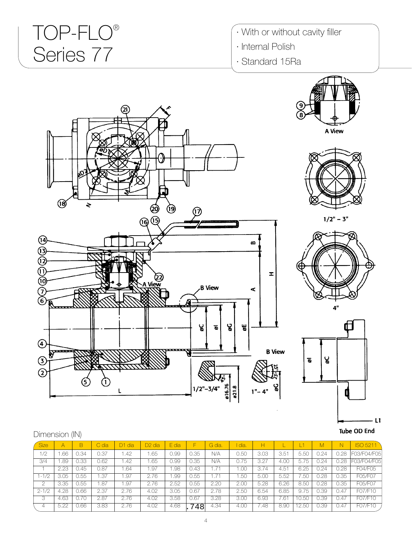# TOP-FLO® Series 77

- · With or without cavity filler
- · Internal Polish
- · Standard 15Ra











| Dimension (IN) |  |
|----------------|--|
|----------------|--|

| Size      | $\overline{A}$ | B    | C dia | D <sub>1</sub> dia | D <sub>2</sub> dia | E dia | F    | G dia. | I dia. | н    |      | 41    | M    | N.   | <b>ISO 5211</b> |
|-----------|----------------|------|-------|--------------------|--------------------|-------|------|--------|--------|------|------|-------|------|------|-----------------|
| 1/2       | .66            | J.34 | 0.37  | 1.42               | .65                | J.99  | 0.35 | N/A    | 0.50   | 3.03 | 3.51 | 5.50  | 0.24 | 0.28 | F03/F04/F05     |
| 3/4       | .89            | 0.33 | 0.62  | 1.42               | .65                | J.99  | 0.35 | N/A    | 0.75   | 3.27 | 4.0C | 5.75  | 0.24 | 0.28 | 03/F04/F05      |
|           | 2.23           | J.45 | 0.87  | 1.64               | .97                | .98   | 0.43 | 1.71   | .00    | 3.74 | 4.51 | 6.25  | 0.24 | 0.28 | F04/F05         |
| $1 - 1/2$ | 3.05           | 0.55 | 1.37  | 1.97               | 2.76               | .99   | 0.55 |        | .5C    | 5.00 | 5.52 | '.50  | 0.28 | 0.35 | F05/F07         |
| ◠         | 3.35           | J.55 | .87   | 1.97               | 2.76               | 2.52  | J.55 | 2.20   | 2.00   | 5.28 | 6.26 | 8.50  | J.28 | 0.35 | F05/F07         |
| $2 - 1/2$ | 4.28           | 0.66 | 2.37  | 2.76               | 4.02               | 3.05  | 0.67 | 2.78   | 2.50   | 6.54 | 6.85 | 9.75  | 0.39 | 0.47 | F07/F10         |
| 3         | 4.63           | 0.70 | 2.87  | 2.76               | 4.02               | 3.58  | J.67 | 3.28   | 3.00   | 6.93 | .61  | 0.50  | J.39 | 0.47 | F07/F10         |
| 4         | 5.22           | 0.66 | 3.83  | 2.76               | 4.02               | 4.68  | 748  | 4.34   | 4.00   | 7.48 | 8.90 | 12.50 | 0.39 | 0.47 | F07/F10         |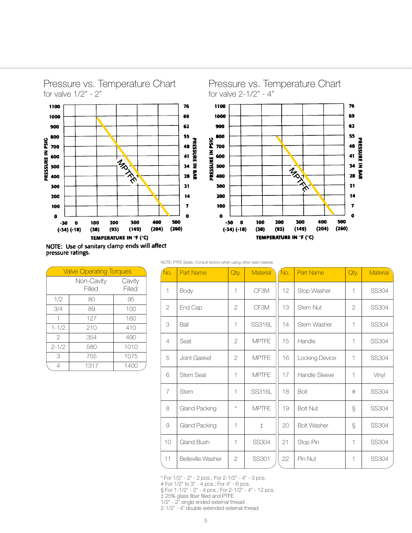

NOTE: Use of sanitary clamp ends will affect pressure ratings.

| <b>Valve Operating Torques</b> |                      |                  |  |  |  |  |  |  |  |  |
|--------------------------------|----------------------|------------------|--|--|--|--|--|--|--|--|
|                                | Non-Cavity<br>Filled | Cavity<br>Filled |  |  |  |  |  |  |  |  |
| 1/2                            | 80                   | 95               |  |  |  |  |  |  |  |  |
| 3/4                            | 89                   | 100              |  |  |  |  |  |  |  |  |
| 1                              | 127                  | 160              |  |  |  |  |  |  |  |  |
| $1 - 1/2$                      | 210                  | 410              |  |  |  |  |  |  |  |  |
| $\mathcal{P}$                  | 354                  | 490              |  |  |  |  |  |  |  |  |
| $2 - 1/2$                      | 580                  | 1010             |  |  |  |  |  |  |  |  |
| 3                              | 755                  | 1075             |  |  |  |  |  |  |  |  |
|                                | 1317                 | 1400             |  |  |  |  |  |  |  |  |

NOTE: PTFE Seats. Consult factory when using other seat material.

| No. | <b>Part Name</b>         | Qty.           | <b>Material</b> | No. | Part Name          | Qty.          | <b>Material</b> |
|-----|--------------------------|----------------|-----------------|-----|--------------------|---------------|-----------------|
| 1   | Body                     | 1              | CF3M            | 12  | Stop Washer        | 1             | <b>SS304</b>    |
| 2   | End Cap                  | 2              | CF3M            | 13  | Stem Nut           | $\mathcal{P}$ | <b>SS304</b>    |
| 3   | Ball                     | 1              | <b>SS316L</b>   | 14  | Stem Washer        | 1             | <b>SS304</b>    |
| 4   | Seat                     | $\overline{2}$ | <b>MPTFE</b>    | 15  | Handle             | $\mathbf{1}$  | <b>SS304</b>    |
| 5   | Joint Gasket             | $\overline{2}$ | <b>MPTFF</b>    | 16  | Locking Device     | 1             | <b>SS304</b>    |
| 6   | <b>Stem Seal</b>         | 1              | <b>MPTFE</b>    | 17  | Handle Sleeve      | $\mathbf{1}$  | Vinyl           |
| 7   | <b>Stem</b>              | 1              | <b>SS316L</b>   | 18  | Bolt               | #             | <b>SS304</b>    |
| 8   | Gland Packing            | $\star$        | <b>MPTFF</b>    | 19  | <b>Bolt Nut</b>    | $\S$          | <b>SS304</b>    |
| 9   | Gland Packing            | 1              | $\ddagger$      | 20  | <b>Bolt Washer</b> | Ş             | <b>SS304</b>    |
| 10  | Gland Bush               | 1              | <b>SS304</b>    | 21  | Stop Pin           | 1             | <b>SS304</b>    |
| 11  | <b>Belleville Washer</b> | $\overline{2}$ | SS301           | 22  | Pin Nut            | 1             | <b>SS304</b>    |

\* For 1/2" - 2" - 2 pcs.; For 2-1/2" - 4" - 3 pcs.

# For 1/2" to 3" - 4 pcs.; For 4" - 6 pcs.

§ For 1-1/2" - 2" - 4 pcs.; For 2-1/2" - 4" - 12 pcs.

‡ 25% glass fiber filled and PTFE

1/2" - 2" single ended external thread

2-1/2" - 4" double extended external thread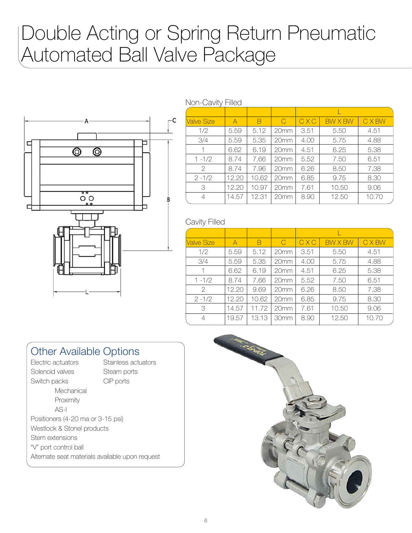# Double Acting or Spring Return Pneumatic Automated Ball Valve Package



| Valve Size     | A     | B     | $\bigcap$        | CXC  | <b>BW X BW</b> | <b>CXBW</b> |
|----------------|-------|-------|------------------|------|----------------|-------------|
| 1/2            | 5.59  | 5.12  | 20 <sub>mm</sub> | 3.51 | 5.50           | 4.51        |
| 3/4            | 5.59  | 5.35  | 20mm             | 4.00 | 5.75           | 4.88        |
| 1              | 6.62  | 6.19  | 20mm             | 4.51 | 6.25           | 5.38        |
| $1 - 1/2$      | 8.74  | 7.66  | 20mm             | 5.52 | 7.50           | 6.51        |
| $\mathcal{P}$  | 8.74  | 7.96  | 20mm             | 6.26 | 8.50           | 7.38        |
| $2 - 1/2$      | 12.20 | 10.62 | 20mm             | 6.85 | 9.75           | 8.30        |
| 3              | 12.20 | 10.97 | 20mm             | 7.61 | 10.50          | 9.06        |
| $\overline{4}$ | 14.57 | 12.31 | 20 <sub>mm</sub> | 8.90 | 12.50          | 10.70       |

#### Cavity Filled

| Valve Size | A     | В     | C                | CXC  | <b>BW X BW</b> | <b>CXBW</b> |
|------------|-------|-------|------------------|------|----------------|-------------|
| 1/2        | 5.59  | 5.12  | 20 <sub>mm</sub> | 3.51 | 5.50           | 4.51        |
| 3/4        | 5.59  | 5.35  | 20mm             | 4.00 | 5.75           | 4.88        |
| 1          | 6.62  | 6.19  | 20mm             | 4.51 | 6.25           | 5.38        |
| $1 - 1/2$  | 8.74  | 7.66  | 20mm             | 5.52 | 7.50           | 6.51        |
| 2          | 12.20 | 9.69  | 20mm             | 6.26 | 8.50           | 7.38        |
| $2 - 1/2$  | 12.20 | 10.62 | 20mm             | 6.85 | 9.75           | 8.30        |
| 3          | 14.57 | 11.72 | 20mm             | 7.61 | 10.50          | 9.06        |
| 4          | 19.57 | 13.13 | 30mm             | 8.90 | 12.50          | 10.70       |

#### Other Available Options

- Electric actuators Stainless actuators Solenoid valves Steam ports Switch packs CIP ports **Mechanical** Proximity AS-I Positioners (4-20 ma or 3-15 psi) Westlock & Stonel products Stem extensions "V" port control ball
- Alternate seat materials available upon request